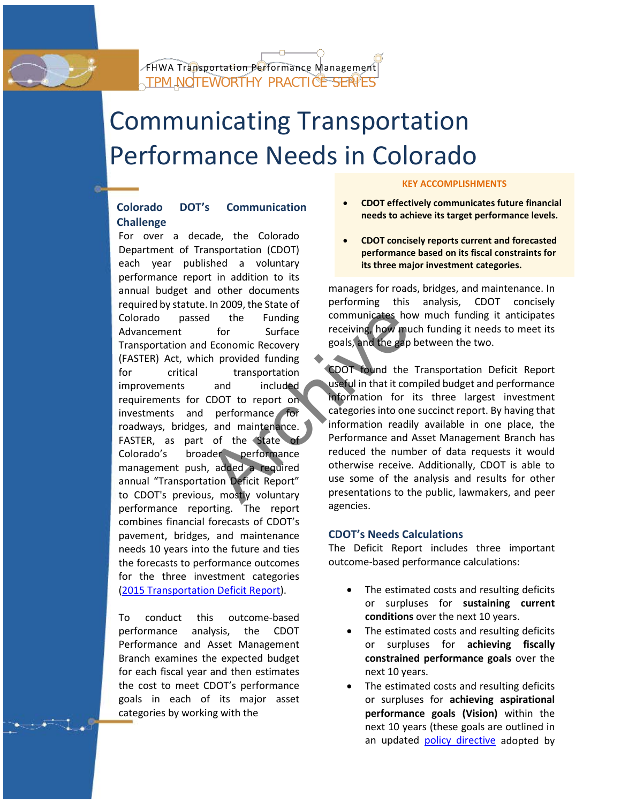

# Communicating Transportation Performance Needs in Colorado

## **Colorado DOT's Communication Challenge**

i

d the Funding<br>
for Surface receiving, how much<br>
leconomic Recovery<br>
ch provided funding<br>
transportation<br>
and included<br>
CDOT to report on<br>
performance for<br>
, and maintenance.<br>
, and maintenance.<br>
, and maintenance.<br>
, and m For over a decade, the Colorado Department of Transportation (CDOT) each year published a voluntary performance report in addition to its annual budget and other documents required by statute. In 2009, the State of Colorado passed the Funding Advancement for Surface Transportation and Economic Recovery (FASTER) Act, which provided funding for critical transportation improvements and included requirements for CDOT to report on investments and performance for roadways, bridges, and maintenance. FASTER, as part of the State of Colorado's broader performance management push, added a required annual "Transportation Deficit Report" to CDOT's previous, mostly voluntary performance reporting. The report combines financial forecasts of CDOT's pavement, bridges, and maintenance needs 10 years into the future and ties the forecasts to performance outcomes for the three investment categories [\(2015 Transportation Deficit Report\)](https://www.codot.gov/library/AnnualReports/2015-transportation-deficit-report).

To conduct this outcome-based performance analysis, the CDOT Performance and Asset Management Branch examines the expected budget for each fiscal year and then estimates the cost to meet CDOT's performance goals in each of its major asset categories by working with the

j

#### **KEY ACCOMPLISHMENTS**

- **CDOT effectively communicates future financial needs to achieve its target performance levels.**
- **CDOT concisely reports current and forecasted performance based on its fiscal constraints for its three major investment categories.**

managers for roads, bridges, and maintenance. In performing this analysis, CDOT concisely communicates how much funding it anticipates receiving, how much funding it needs to meet its goals, and the gap between the two.

CDOT found the Transportation Deficit Report useful in that it compiled budget and performance information for its three largest investment categories into one succinct report. By having that information readily available in one place, the Performance and Asset Management Branch has reduced the number of data requests it would otherwise receive. Additionally, CDOT is able to use some of the analysis and results for other presentations to the public, lawmakers, and peer agencies.

## **CDOT's Needs Calculations**

The Deficit Report includes three important outcome-based performance calculations:

- The estimated costs and resulting deficits or surpluses for **sustaining current conditions** over the next 10 years.
- The estimated costs and resulting deficits or surpluses for **achieving fiscally constrained performance goals** over the next 10 years.
- The estimated costs and resulting deficits or surpluses for **achieving aspirational performance goals (Vision)** within the next 10 years (these goals are outlined in an updated [policy directive](http://coloradotransportationmatters.com/wp-content/uploads/2014/10/Policy-Directive-14-Development-Technical-Memorandum-with-Appendices-2015-04-07.pdf) adopted by